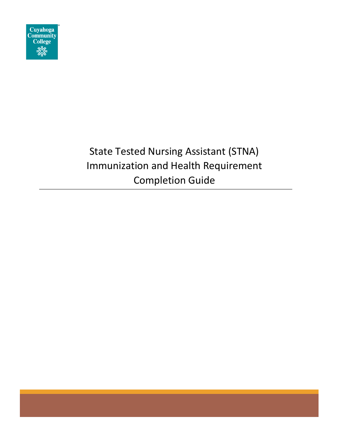

# State Tested Nursing Assistant (STNA) Immunization and Health Requirement Completion Guide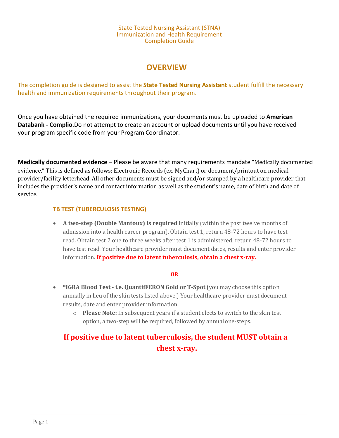#### State Tested Nursing Assistant (STNA) Immunization and Health Requirement Completion Guide

## **OVERVIEW**

The completion guide is designed to assist the **State Tested Nursing Assistant** student fulfill the necessary health and immunization requirements throughout their program.

Once you [have obtained the required immunizations, your documents must be uploaded to](#page-2-0) **American [Databank -](#page-2-0) Complio**.Do not attempt [to create an account or upload documents until you have received](#page-2-0)  [your program specific](#page-2-0) code from your Program [Coordinator.](#page-2-0)

**Medically documented evidence** – Please be aware that many requirements mandate "Medically documented evidence." This is defined as follows: Electronic Records (ex. MyChart) or document/printout on medical provider/facility letterhead. All other documents must be signed and/or stamped by a healthcare provider that includes the provider's name and contact information as well as the student's name, date of birth and date of service.

## **TB TEST (TUBERCULOSIS TESTING)**

• **A two-step (Double Mantoux) is required** initially (within the past twelve months of admission into a health career program). Obtain test 1, return 48-72 hours to have test read. Obtain test 2 one to three weeks after test 1 is administered, return 48-72 hours to have test read. Your healthcare provider must document dates, results and enter provider information**. If positive due to latent tuberculosis, obtain a chest x-ray.**

### **OR**

- **\*IGRA Blood Test - i.e. QuantifFERON Gold or T-Spot** (you may choose this option annually in lieu of the skin tests listed above.) Your healthcare provider must document results, date and enter provider information.
	- o **Please Note:** In subsequent years if a student elects to switch to the skin test option, a two-step will be required, followed by annualone-steps.

# **If positive due to latent tuberculosis, the student MUST obtain a chest x-ray.**